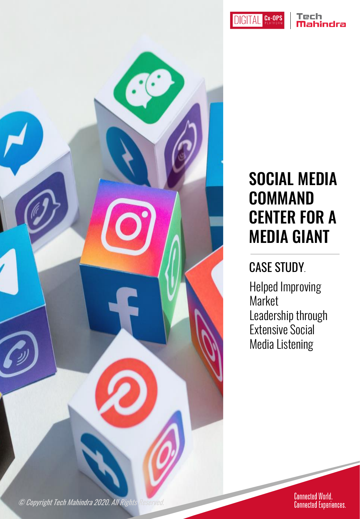**DIGITAL CX-OPS** 

#### Tech Mahindra



## SOCIAL MEDIA COMMAND CENTER FOR A MEDIA GIANT

#### CASE STUDY.

Helped Improving Market Leadership through Extensive Social Media Listening

Connected World.<br>Connected Experiences.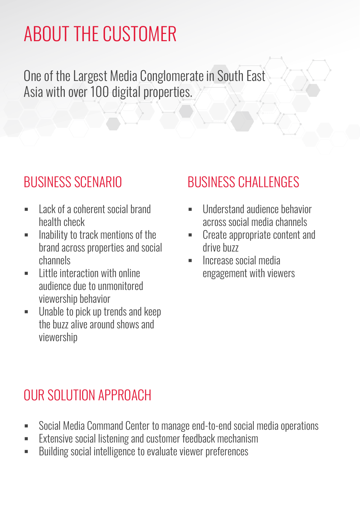# ABOUT THE CUSTOMER

One of the Largest Media Conglomerate in South East Asia with over 100 digital properties.

#### BUSINESS SCENARIO

- **Lack of a coherent social brand** health check
- **Inability to track mentions of the** brand across properties and social channels
- $\blacksquare$  Little interaction with online audience due to unmonitored viewership behavior
- **Unable to pick up trends and keep** the buzz alive around shows and viewership

#### BUSINESS CHALLENGES

- Understand audience behavior across social media channels
- Create appropriate content and drive buzz
- **Increase social media** engagement with viewers

#### OUR SOLUTION APPROACH

- Social Media Command Center to manage end-to-end social media operations
- **Extensive social listening and customer feedback mechanism**
- **Building social intelligence to evaluate viewer preferences**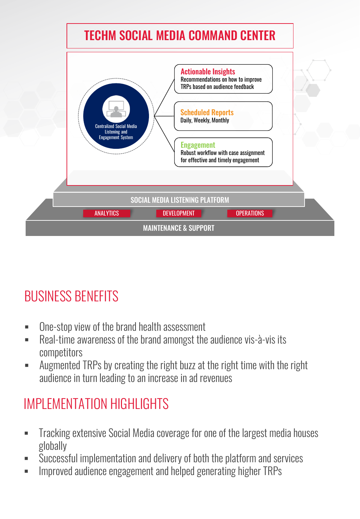

### BUSINESS BENEFITS

- **-** One-stop view of the brand health assessment
- Real-time awareness of the brand amongst the audience vis-à-vis its competitors
- Augmented TRPs by creating the right buzz at the right time with the right audience in turn leading to an increase in ad revenues

#### IMPI EMENTATION HIGHI IGHTS

- Tracking extensive Social Media coverage for one of the largest media houses globally
- Successful implementation and delivery of both the platform and services
- **IMPROVED 2018 19 EXAGORBER 10 AUDITY 10 AUDITY 10 AUDITY 10 AUDITY 10 FEAR** 10 **IMPS**